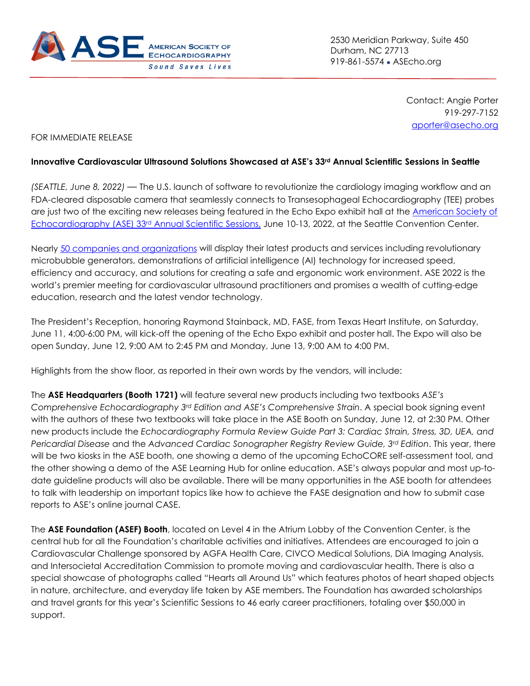

2530 Meridian Parkway, Suite 450 Durham, NC 27713 919-861-5574 • ASEcho.org

> Contact: Angie Porter 919-297-7152 [aporter@asecho.org](mailto:aporter@asecho.org)

## FOR IMMEDIATE RELEASE

## Innovative Cardiovascular Ultrasound Solutions Showcased at ASE's 33<sup>rd</sup> Annual Scientific Sessions in Seattle

*(SEATTLE, June 8, 2022) —* The U.S. launch of software to revolutionize the cardiology imaging workflow and an FDA-cleared disposable camera that seamlessly connects to Transesophageal Echocardiography (TEE) probes are just two of the exciting new releases being featured in the Echo Expo exhibit hall at the [American Society of](https://www.asescientificsessions.org/)  [Echocardiography \(ASE\) 33rd](https://www.asescientificsessions.org/) Annual Scientific Sessions, June 10-13, 2022, at the Seattle Convention Center.

Nearly [50 companies and organizations](https://www.expocad.com/host/fx/afassanoco/22ase/exfx.html) will display their latest products and services including revolutionary microbubble generators, demonstrations of artificial intelligence (AI) technology for increased speed, efficiency and accuracy, and solutions for creating a safe and ergonomic work environment. ASE 2022 is the world's premier meeting for cardiovascular ultrasound practitioners and promises a wealth of cutting-edge education, research and the latest vendor technology.

The President's Reception, honoring Raymond Stainback, MD, FASE, from Texas Heart Institute, on Saturday, June 11, 4:00-6:00 PM, will kick-off the opening of the Echo Expo exhibit and poster hall. The Expo will also be open Sunday, June 12, 9:00 AM to 2:45 PM and Monday, June 13, 9:00 AM to 4:00 PM.

Highlights from the show floor, as reported in their own words by the vendors, will include:

The **ASE Headquarters (Booth 1721)** will feature several new products including two textbooks *ASE's Comprehensive Echocardiography 3rd Edition and ASE's Comprehensive Strain*. A special book signing event with the authors of these two textbooks will take place in the ASE Booth on Sunday, June 12, at 2:30 PM. Other new products include the *Echocardiography Formula Review Guide Part 3: Cardiac Strain, Stress, 3D, UEA, and Pericardial Disease* and the *Advanced Cardiac Sonographer Registry Review Guide, 3rd Edition*. This year, there will be two kiosks in the ASE booth, one showing a demo of the upcoming EchoCORE self-assessment tool, and the other showing a demo of the ASE Learning Hub for online education. ASE's always popular and most up-todate guideline products will also be available. There will be many opportunities in the ASE booth for attendees to talk with leadership on important topics like how to achieve the FASE designation and how to submit case reports to ASE's online journal CASE.

The **ASE Foundation (ASEF) Booth**, located on Level 4 in the Atrium Lobby of the Convention Center, is the central hub for all the Foundation's charitable activities and initiatives. Attendees are encouraged to join a Cardiovascular Challenge sponsored by AGFA Health Care, CIVCO Medical Solutions, DiA Imaging Analysis, and Intersocietal Accreditation Commission to promote moving and cardiovascular health. There is also a special showcase of photographs called "Hearts all Around Us" which features photos of heart shaped objects in nature, architecture, and everyday life taken by ASE members. The Foundation has awarded scholarships and travel grants for this year's Scientific Sessions to 46 early career practitioners, totaling over \$50,000 in support.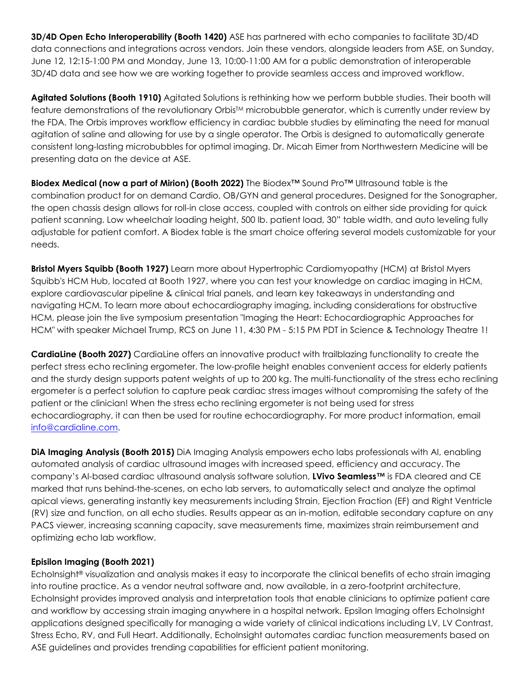**3D/4D Open Echo Interoperability (Booth 1420)** ASE has partnered with echo companies to facilitate 3D/4D data connections and integrations across vendors. Join these vendors, alongside leaders from ASE, on Sunday, June 12, 12:15-1:00 PM and Monday, June 13, 10:00-11:00 AM for a public demonstration of interoperable 3D/4D data and see how we are working together to provide seamless access and improved workflow.

**Agitated Solutions (Booth 1910)** Agitated Solutions is rethinking how we perform bubble studies. Their booth will feature demonstrations of the revolutionary Orbis<sup>TM</sup> microbubble generator, which is currently under review by the FDA. The Orbis improves workflow efficiency in cardiac bubble studies by eliminating the need for manual agitation of saline and allowing for use by a single operator. The Orbis is designed to automatically generate consistent long-lasting microbubbles for optimal imaging. Dr. Micah Eimer from Northwestern Medicine will be presenting data on the device at ASE.

**Biodex Medical (now a part of Mirion) (Booth 2022)** The Biodex™ Sound Pro™ Ultrasound table is the combination product for on demand Cardio, OB/GYN and general procedures. Designed for the Sonographer, the open chassis design allows for roll-in close access, coupled with controls on either side providing for quick patient scanning. Low wheelchair loading height, 500 lb. patient load, 30" table width, and auto leveling fully adjustable for patient comfort. A Biodex table is the smart choice offering several models customizable for your needs.

**Bristol Myers Squibb (Booth 1927)** Learn more about Hypertrophic Cardiomyopathy (HCM) at Bristol Myers Squibb's HCM Hub, located at Booth 1927, where you can test your knowledge on cardiac imaging in HCM, explore cardiovascular pipeline & clinical trial panels, and learn key takeaways in understanding and navigating HCM. To learn more about echocardiography imaging, including considerations for obstructive HCM, please join the live symposium presentation "Imaging the Heart: Echocardiographic Approaches for HCM" with speaker Michael Trump, RCS on June 11, 4:30 PM - 5:15 PM PDT in Science & Technology Theatre 1!

**CardiaLine (Booth 2027)** CardiaLine offers an innovative product with trailblazing functionality to create the perfect stress echo reclining ergometer. The low-profile height enables convenient access for elderly patients and the sturdy design supports patent weights of up to 200 kg. The multi-functionality of the stress echo reclining ergometer is a perfect solution to capture peak cardiac stress images without compromising the safety of the patient or the clinician! When the stress echo reclining ergometer is not being used for stress echocardiography, it can then be used for routine echocardiography. For more product information, email [info@cardialine.com.](mailto:info@cardialine.com)

**DiA Imaging Analysis (Booth 2015)** DiA Imaging Analysis empowers echo labs professionals with AI, enabling automated analysis of cardiac ultrasound images with increased speed, efficiency and accuracy. The company's AI-based cardiac ultrasound analysis software solution, **LVivo Seamless™** is FDA cleared and CE marked that runs behind-the-scenes, on echo lab servers, to automatically select and analyze the optimal apical views, generating instantly key measurements including Strain, Ejection Fraction (EF) and Right Ventricle (RV) size and function, on all echo studies. Results appear as an in-motion, editable secondary capture on any PACS viewer, increasing scanning capacity, save measurements time, maximizes strain reimbursement and optimizing echo lab workflow.

## **Episilon Imaging (Booth 2021)**

EchoInsight® visualization and analysis makes it easy to incorporate the clinical benefits of echo strain imaging into routine practice. As a vendor neutral software and, now available, in a zero-footprint architecture, EchoInsight provides improved analysis and interpretation tools that enable clinicians to optimize patient care and workflow by accessing strain imaging anywhere in a hospital network. Epsilon Imaging offers EchoInsight applications designed specifically for managing a wide variety of clinical indications including LV, LV Contrast, Stress Echo, RV, and Full Heart. Additionally, Echolnsight automates cardiac function measurements based on ASE guidelines and provides trending capabilities for efficient patient monitoring.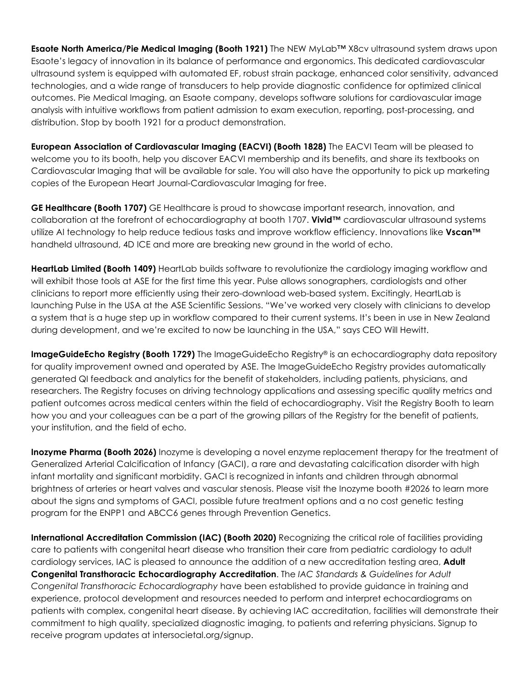**Esaote North America/Pie Medical Imaging (Booth 1921)** The NEW MyLab™ X8cv ultrasound system draws upon Esaote's legacy of innovation in its balance of performance and ergonomics. This dedicated cardiovascular ultrasound system is equipped with automated EF, robust strain package, enhanced color sensitivity, advanced technologies, and a wide range of transducers to help provide diagnostic confidence for optimized clinical outcomes. Pie Medical Imaging, an Esaote company, develops software solutions for cardiovascular image analysis with intuitive workflows from patient admission to exam execution, reporting, post-processing, and distribution. Stop by booth 1921 for a product demonstration.

**European Association of Cardiovascular Imaging (EACVI) (Booth 1828)** The EACVI Team will be pleased to welcome you to its booth, help you discover EACVI membership and its benefits, and share its textbooks on Cardiovascular Imaging that will be available for sale. You will also have the opportunity to pick up marketing copies of the European Heart Journal-Cardiovascular Imaging for free.

**GE Healthcare (Booth 1707)** GE Healthcare is proud to showcase important research, innovation, and collaboration at the forefront of echocardiography at booth 1707. **Vivid™** cardiovascular ultrasound systems utilize AI technology to help reduce tedious tasks and improve workflow efficiency. Innovations like **Vscan™** handheld ultrasound, 4D ICE and more are breaking new ground in the world of echo.

**HeartLab Limited (Booth 1409)** HeartLab builds software to revolutionize the cardiology imaging workflow and will exhibit those tools at ASE for the first time this year. Pulse allows sonographers, cardiologists and other clinicians to report more efficiently using their zero-download web-based system. Excitingly, HeartLab is launching Pulse in the USA at the ASE Scientific Sessions. "We've worked very closely with clinicians to develop a system that is a huge step up in workflow compared to their current systems. It's been in use in New Zealand during development, and we're excited to now be launching in the USA," says CEO Will Hewitt.

**ImageGuideEcho Registry (Booth 1729)** The ImageGuideEcho Registry® is an echocardiography data repository for quality improvement owned and operated by ASE. The ImageGuideEcho Registry provides automatically generated QI feedback and analytics for the benefit of stakeholders, including patients, physicians, and researchers. The Registry focuses on driving technology applications and assessing specific quality metrics and patient outcomes across medical centers within the field of echocardiography. Visit the Registry Booth to learn how you and your colleagues can be a part of the growing pillars of the Registry for the benefit of patients, your institution, and the field of echo.

**Inozyme Pharma (Booth 2026)** Inozyme is developing a novel enzyme replacement therapy for the treatment of Generalized Arterial Calcification of Infancy (GACI), a rare and devastating calcification disorder with high infant mortality and significant morbidity. GACI is recognized in infants and children through abnormal brightness of arteries or heart valves and vascular stenosis. Please visit the Inozyme booth #2026 to learn more about the signs and symptoms of GACI, possible future treatment options and a no cost genetic testing program for the ENPP1 and ABCC6 genes through Prevention Genetics.

**International Accreditation Commission (IAC) (Booth 2020)** Recognizing the critical role of facilities providing care to patients with congenital heart disease who transition their care from pediatric cardiology to adult cardiology services, IAC is pleased to announce the addition of a new accreditation testing area, **Adult Congenital Transthoracic Echocardiography Accreditation**. The *IAC Standards & Guidelines for Adult Congenital Transthoracic Echocardiography* have been established to provide guidance in training and experience, protocol development and resources needed to perform and interpret echocardiograms on patients with complex, congenital heart disease. By achieving IAC accreditation, facilities will demonstrate their commitment to high quality, specialized diagnostic imaging, to patients and referring physicians. Signup to receive program updates at intersocietal.org/signup.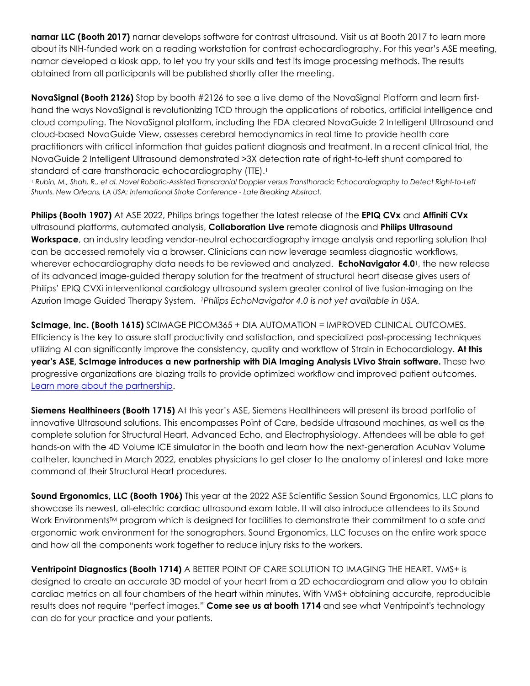**narnar LLC (Booth 2017)** narnar develops software for contrast ultrasound. Visit us at Booth 2017 to learn more about its NIH-funded work on a reading workstation for contrast echocardiography. For this year's ASE meeting, narnar developed a kiosk app, to let you try your skills and test its image processing methods. The results obtained from all participants will be published shortly after the meeting.

**NovaSignal (Booth 2126)** Stop by booth #2126 to see a live demo of the NovaSignal Platform and learn firsthand the ways NovaSignal is revolutionizing TCD through the applications of robotics, artificial intelligence and cloud computing. The NovaSignal platform, including the FDA cleared NovaGuide 2 Intelligent Ultrasound and cloud-based NovaGuide View, assesses cerebral hemodynamics in real time to provide health care practitioners with critical information that guides patient diagnosis and treatment. In a recent clinical trial, the NovaGuide 2 Intelligent Ultrasound demonstrated >3X detection rate of right-to-left shunt compared to standard of care transthoracic echocardiography (TTE).1

*<sup>1</sup> Rubin, M., Shah, R., et al. Novel Robotic-Assisted Transcranial Doppler versus Transthoracic Echocardiography to Detect Right-to-Left Shunts. New Orleans, LA USA: International Stroke Conference - Late Breaking Abstract.*

**Philips (Booth 1907)** At ASE 2022, Philips brings together the latest release of the **EPIQ CVx** and **Affiniti CVx** ultrasound platforms, automated analysis, **Collaboration Live** remote diagnosis and **Philips Ultrasound Workspace**, an industry leading vendor-neutral echocardiography image analysis and reporting solution that can be accessed remotely via a browser. Clinicians can now leverage seamless diagnostic workflows, wherever echocardiography data needs to be reviewed and analyzed. **EchoNavigator 4.0**1, the new release of its advanced image-guided therapy solution for the treatment of structural heart disease gives users of Philips' EPIQ CVXi interventional cardiology ultrasound system greater control of live fusion-imaging on the Azurion Image Guided Therapy System. *1Philips EchoNavigator 4.0 is not yet available in USA.*

**ScImage, Inc. (Booth 1615)** SCIMAGE PICOM365 + DIA AUTOMATION = IMPROVED CLINICAL OUTCOMES. Efficiency is the key to assure staff productivity and satisfaction, and specialized post-processing techniques utilizing AI can significantly improve the consistency, quality and workflow of Strain in Echocardiology. **At this year's ASE, ScImage introduces a new partnership with DiA Imaging Analysis LVivo Strain software.** These two progressive organizations are blazing trails to provide optimized workflow and improved patient outcomes. [Learn more about the partnership.](https://scimage.com/wp-content/uploads/2022/06/ScImage_PR_2022-06-07_DiA-ScImage-Partnership.pdf)

**Siemens Healthineers (Booth 1715)** At this year's ASE, Siemens Healthineers will present its broad portfolio of innovative Ultrasound solutions. This encompasses Point of Care, bedside ultrasound machines, as well as the complete solution for Structural Heart, Advanced Echo, and Electrophysiology. Attendees will be able to get hands-on with the 4D Volume ICE simulator in the booth and learn how the next-generation AcuNav Volume catheter, launched in March 2022, enables physicians to get closer to the anatomy of interest and take more command of their Structural Heart procedures.

**Sound Ergonomics, LLC (Booth 1906)** This year at the 2022 ASE Scientific Session Sound Ergonomics, LLC plans to showcase its newest, all-electric cardiac ultrasound exam table. It will also introduce attendees to its Sound Work Environments<sup>™</sup> program which is designed for facilities to demonstrate their commitment to a safe and ergonomic work environment for the sonographers. Sound Ergonomics, LLC focuses on the entire work space and how all the components work together to reduce injury risks to the workers.

**Ventripoint Diagnostics (Booth 1714)** A BETTER POINT OF CARE SOLUTION TO IMAGING THE HEART. VMS+ is designed to create an accurate 3D model of your heart from a 2D echocardiogram and allow you to obtain cardiac metrics on all four chambers of the heart within minutes. With VMS+ obtaining accurate, reproducible results does not require "perfect images." **Come see us at booth 1714** and see what Ventripoint's technology can do for your practice and your patients.